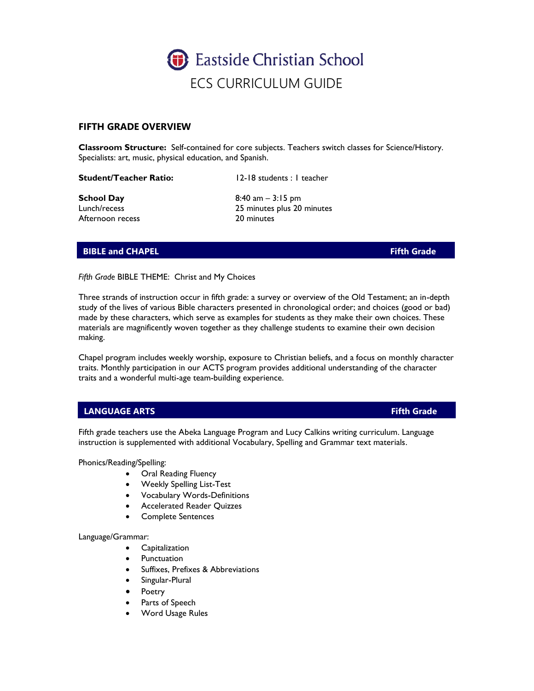

## **FIFTH GRADE OVERVIEW**

**Classroom Structure:** Self-contained for core subjects. Teachers switch classes for Science/History. Specialists: art, music, physical education, and Spanish.

12-18 students : 1 teacher

Afternoon recess 20 minutes

**School Day** 8:40 am – 3:15 pm Lunch/recess 25 minutes plus 20 minutes

## **BIBLE and CHAPEL Fifth** Grade

*Fifth Grade* BIBLE THEME: Christ and My Choices

Three strands of instruction occur in fifth grade: a survey or overview of the Old Testament; an in-depth study of the lives of various Bible characters presented in chronological order; and choices (good or bad) made by these characters, which serve as examples for students as they make their own choices. These materials are magnificently woven together as they challenge students to examine their own decision making.

Chapel program includes weekly worship, exposure to Christian beliefs, and a focus on monthly character traits. Monthly participation in our ACTS program provides additional understanding of the character traits and a wonderful multi-age team-building experience.

# **LANGUAGE ARTS Fifth Grade**

Fifth grade teachers use the Abeka Language Program and Lucy Calkins writing curriculum. Language instruction is supplemented with additional Vocabulary, Spelling and Grammar text materials.

Phonics/Reading/Spelling:

- Oral Reading Fluency
- Weekly Spelling List-Test
- Vocabulary Words-Definitions
- Accelerated Reader Quizzes
- Complete Sentences

Language/Grammar:

- Capitalization
- Punctuation
- Suffixes, Prefixes & Abbreviations
- Singular-Plural
- **Poetry**
- Parts of Speech
- Word Usage Rules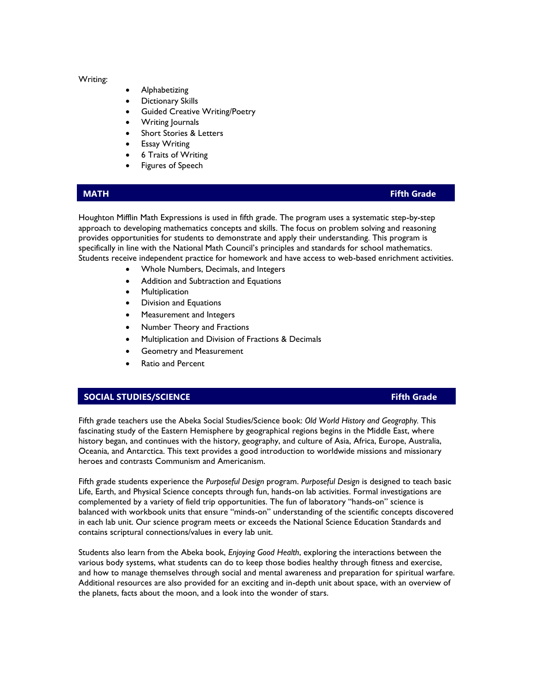### Writing:

- Alphabetizing
- Dictionary Skills
- Guided Creative Writing/Poetry
- Writing Journals
- Short Stories & Letters
- **Essay Writing**
- 6 Traits of Writing
- Figures of Speech

## **MATH Fifth Grade**

Houghton Mifflin Math Expressions is used in fifth grade. The program uses a systematic step-by-step approach to developing mathematics concepts and skills. The focus on problem solving and reasoning provides opportunities for students to demonstrate and apply their understanding. This program is specifically in line with the National Math Council's principles and standards for school mathematics. Students receive independent practice for homework and have access to web-based enrichment activities.

- Whole Numbers, Decimals, and Integers
- Addition and Subtraction and Equations
- Multiplication
- Division and Equations
- Measurement and Integers
- Number Theory and Fractions
- Multiplication and Division of Fractions & Decimals
- Geometry and Measurement
- Ratio and Percent

## **SOCIAL STUDIES/SCIENCE Fifth Grade**

Fifth grade teachers use the Abeka Social Studies/Science book: *Old World History and Geography.* This fascinating study of the Eastern Hemisphere by geographical regions begins in the Middle East, where history began, and continues with the history, geography, and culture of Asia, Africa, Europe, Australia, Oceania, and Antarctica. This text provides a good introduction to worldwide missions and missionary heroes and contrasts Communism and Americanism.

Fifth grade students experience the *Purposeful Design* program. *Purposeful Design* is designed to teach basic Life, Earth, and Physical Science concepts through fun, hands-on lab activities. Formal investigations are complemented by a variety of field trip opportunities. The fun of laboratory "hands-on" science is balanced with workbook units that ensure "minds-on" understanding of the scientific concepts discovered in each lab unit. Our science program meets or exceeds the National Science Education Standards and contains scriptural connections/values in every lab unit.

Students also learn from the Abeka book, *Enjoying Good Health*, exploring the interactions between the various body systems, what students can do to keep those bodies healthy through fitness and exercise, and how to manage themselves through social and mental awareness and preparation for spiritual warfare. Additional resources are also provided for an exciting and in-depth unit about space, with an overview of the planets, facts about the moon, and a look into the wonder of stars.